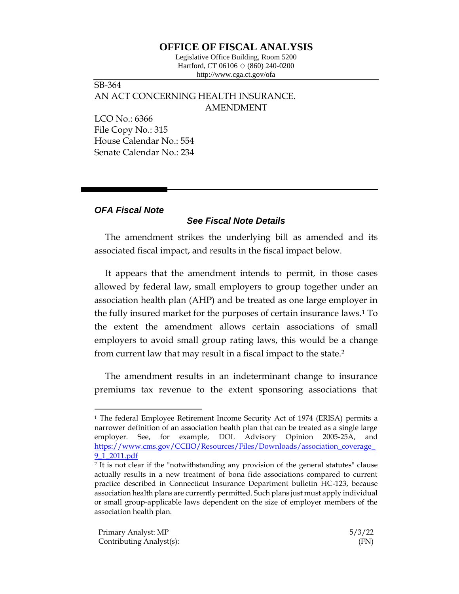## **OFFICE OF FISCAL ANALYSIS**

Legislative Office Building, Room 5200 Hartford, CT 06106  $\Diamond$  (860) 240-0200 http://www.cga.ct.gov/ofa

SB-364 AN ACT CONCERNING HEALTH INSURANCE. AMENDMENT

LCO No.: 6366 File Copy No.: 315 House Calendar No.: 554 Senate Calendar No.: 234

## *OFA Fiscal Note*

## *See Fiscal Note Details*

The amendment strikes the underlying bill as amended and its associated fiscal impact, and results in the fiscal impact below.

It appears that the amendment intends to permit, in those cases allowed by federal law, small employers to group together under an association health plan (AHP) and be treated as one large employer in the fully insured market for the purposes of certain insurance laws.<sup>1</sup> To the extent the amendment allows certain associations of small employers to avoid small group rating laws, this would be a change from current law that may result in a fiscal impact to the state.<sup>2</sup>

The amendment results in an indeterminant change to insurance premiums tax revenue to the extent sponsoring associations that

<sup>1</sup> The federal Employee Retirement Income Security Act of 1974 (ERISA) permits a narrower definition of an association health plan that can be treated as a single large employer. See, for example, DOL Advisory Opinion 2005-25A, and [https://www.cms.gov/CCIIO/Resources/Files/Downloads/association\\_coverage\\_](https://www.cms.gov/CCIIO/Resources/Files/Downloads/association_coverage_9_1_2011.pdf) [9\\_1\\_2011.pdf](https://www.cms.gov/CCIIO/Resources/Files/Downloads/association_coverage_9_1_2011.pdf)

<sup>2</sup> It is not clear if the "notwithstanding any provision of the general statutes" clause actually results in a new treatment of bona fide associations compared to current practice described in Connecticut Insurance Department bulletin HC-123, because association health plans are currently permitted. Such plans just must apply individual or small group-applicable laws dependent on the size of employer members of the association health plan.